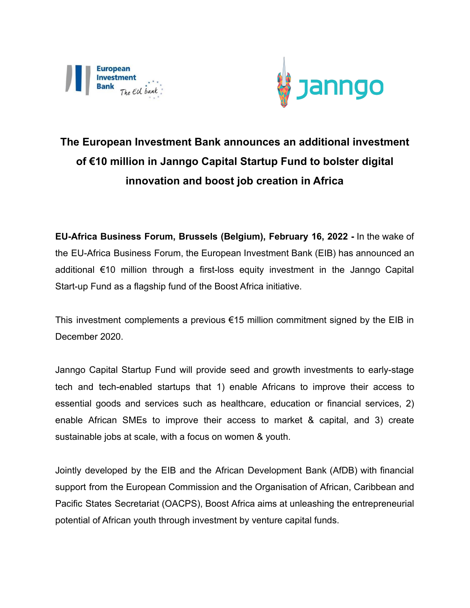



## **The European Investment Bank announces an additional investment of €10 million in Janngo Capital Startup Fund to bolster digital innovation and boost job creation in Africa**

**EU-Africa Business Forum, Brussels (Belgium), February 16, 2022 -** In the wake of the EU-Africa Business Forum, the European Investment Bank (EIB) has announced an additional €10 million through a first-loss equity investment in the Janngo Capital Start-up Fund as a flagship fund of the Boost Africa initiative.

This investment complements a previous  $\epsilon$ 15 million commitment signed by the EIB in December 2020.

Janngo Capital Startup Fund will provide seed and growth investments to early-stage tech and tech-enabled startups that 1) enable Africans to improve their access to essential goods and services such as healthcare, education or financial services, 2) enable African SMEs to improve their access to market & capital, and 3) create sustainable jobs at scale, with a focus on women & youth.

Jointly developed by the EIB and the African Development Bank (AfDB) with financial support from the European Commission and the Organisation of African, Caribbean and Pacific States Secretariat (OACPS), Boost Africa aims at unleashing the entrepreneurial potential of African youth through investment by venture capital funds.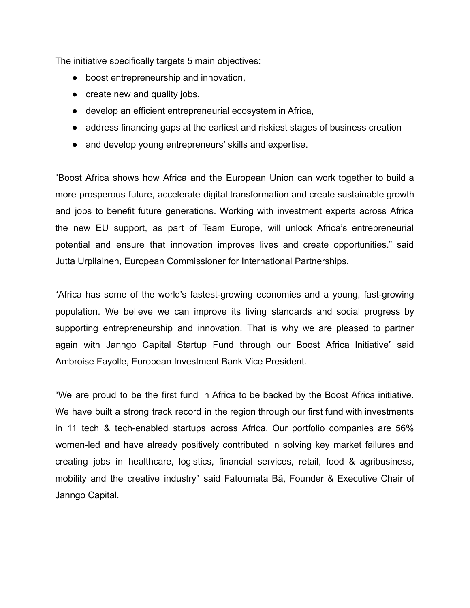The initiative specifically targets 5 main objectives:

- boost entrepreneurship and innovation,
- create new and quality jobs,
- develop an efficient entrepreneurial ecosystem in Africa,
- address financing gaps at the earliest and riskiest stages of business creation
- and develop young entrepreneurs' skills and expertise.

"Boost Africa shows how Africa and the European Union can work together to build a more prosperous future, accelerate digital transformation and create sustainable growth and jobs to benefit future generations. Working with investment experts across Africa the new EU support, as part of Team Europe, will unlock Africa's entrepreneurial potential and ensure that innovation improves lives and create opportunities." said Jutta Urpilainen, European Commissioner for International Partnerships.

"Africa has some of the world's fastest-growing economies and a young, fast-growing population. We believe we can improve its living standards and social progress by supporting entrepreneurship and innovation. That is why we are pleased to partner again with Janngo Capital Startup Fund through our Boost Africa Initiative" said Ambroise Fayolle, European Investment Bank Vice President.

"We are proud to be the first fund in Africa to be backed by the Boost Africa initiative. We have built a strong track record in the region through our first fund with investments in 11 tech & tech-enabled startups across Africa. Our portfolio companies are 56% women-led and have already positively contributed in solving key market failures and creating jobs in healthcare, logistics, financial services, retail, food & agribusiness, mobility and the creative industry" said Fatoumata Bâ, Founder & Executive Chair of [Janngo](http://www.janngo.africa/) Capital.